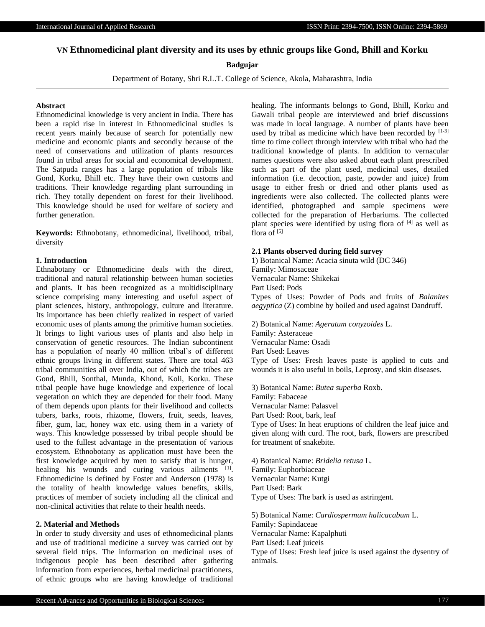International Journal of Applied Research ISSN Print: 2394-7500, ISSN Online: 2394-5869

# **VN Ethnomedicinal plant diversity and its uses by ethnic groups like Gond, Bhill and Korku**

## **Badgujar**

Department of Botany, Shri R.L.T. College of Science, Akola, Maharashtra, India

## **Abstract**

Ethnomedicinal knowledge is very ancient in India. There has been a rapid rise in interest in Ethnomedicinal studies is recent years mainly because of search for potentially new medicine and economic plants and secondly because of the need of conservations and utilization of plants resources found in tribal areas for social and economical development. The Satpuda ranges has a large population of tribals like Gond, Korku, Bhill etc. They have their own customs and traditions. Their knowledge regarding plant surrounding in rich. They totally dependent on forest for their livelihood. This knowledge should be used for welfare of society and further generation.

**Keywords:** Ethnobotany, ethnomedicinal, livelihood, tribal, diversity

### **1. Introduction**

Ethnabotany or Ethnomedicine deals with the direct, traditional and natural relationship between human societies and plants. It has been recognized as a multidisciplinary science comprising many interesting and useful aspect of plant sciences, history, anthropology, culture and literature. Its importance has been chiefly realized in respect of varied economic uses of plants among the primitive human societies. It brings to light various uses of plants and also help in conservation of genetic resources. The Indian subcontinent has a population of nearly 40 million tribal's of different ethnic groups living in different states. There are total 463 tribal communities all over India, out of which the tribes are Gond, Bhill, Sonthal, Munda, Khond, Koli, Korku. These tribal people have huge knowledge and experience of local vegetation on which they are depended for their food. Many of them depends upon plants for their livelihood and collects tubers, barks, roots, rhizome, flowers, fruit, seeds, leaves, fiber, gum, lac, honey wax etc. using them in a variety of ways. This knowledge possessed by tribal people should be used to the fullest advantage in the presentation of various ecosystem. Ethnobotany as application must have been the first knowledge acquired by men to satisfy that is hunger, healing his wounds and curing various ailments [1]. Ethnomedicine is defined by Foster and Anderson (1978) is the totality of health knowledge values benefits, skills, practices of member of society including all the clinical and non-clinical activities that relate to their health needs.

### **2. Material and Methods**

In order to study diversity and uses of ethnomedicinal plants and use of traditional medicine a survey was carried out by several field trips. The information on medicinal uses of indigenous people has been described after gathering information from experiences, herbal medicinal practitioners, of ethnic groups who are having knowledge of traditional healing. The informants belongs to Gond, Bhill, Korku and Gawali tribal people are interviewed and brief discussions was made in local language. A number of plants have been used by tribal as medicine which have been recorded by  $[1-3]$ time to time collect through interview with tribal who had the traditional knowledge of plants. In addition to vernacular names questions were also asked about each plant prescribed such as part of the plant used, medicinal uses, detailed information (i.e. decoction, paste, powder and juice) from usage to either fresh or dried and other plants used as ingredients were also collected. The collected plants were identified, photographed and sample specimens were collected for the preparation of Herbariums. The collected plant species were identified by using flora of [4] as well as flora of  $[5]$ 

#### **2.1 Plants observed during field survey**

1) Botanical Name: Acacia sinuta wild (DC 346) Family: Mimosaceae Vernacular Name: Shikekai Part Used: Pods Types of Uses: Powder of Pods and fruits of *Balanites aegyptica* (Z) combine by boiled and used against Dandruff.

2) Botanical Name: *Ageratum conyzoides* L. Family: Asteraceae Vernacular Name: Osadi Part Used: Leaves Type of Uses: Fresh leaves paste is applied to cuts and wounds it is also useful in boils, Leprosy, and skin diseases.

3) Botanical Name: *Butea superba* Roxb. Family: Fabaceae Vernacular Name: Palasvel Part Used: Root, bark, leaf Type of Uses: In heat eruptions of children the leaf juice and given along with curd. The root, bark, flowers are prescribed for treatment of snakebite.

4) Botanical Name: *Bridelia retusa* L. Family: Euphorbiaceae Vernacular Name: Kutgi Part Used: Bark Type of Uses: The bark is used as astringent.

5) Botanical Name: *Cardiospermum halicacabum* L. Family: Sapindaceae Vernacular Name: Kapalphuti Part Used: Leaf juiceis Type of Uses: Fresh leaf juice is used against the dysentry of animals.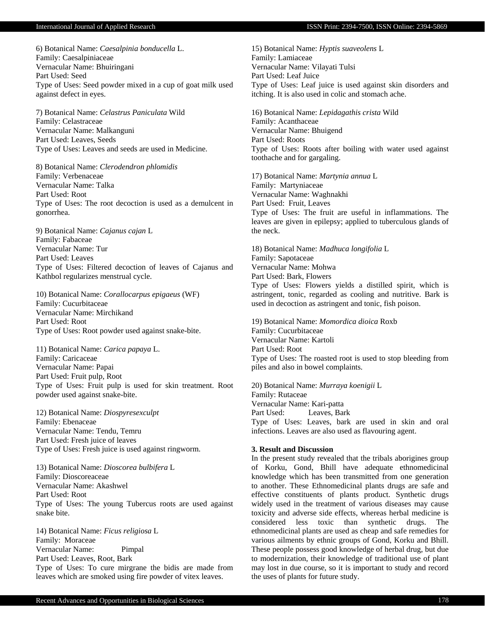6) Botanical Name: *Caesalpinia bonducella* L. Family: Caesalpiniaceae Vernacular Name: Bhuiringani Part Used: Seed Type of Uses: Seed powder mixed in a cup of goat milk used against defect in eyes.

7) Botanical Name: *Celastrus Paniculata* Wild Family: Celastraceae Vernacular Name: Malkanguni Part Used: Leaves, Seeds Type of Uses: Leaves and seeds are used in Medicine.

8) Botanical Name: *Clerodendron phlomidis* Family: Verbenaceae Vernacular Name: Talka Part Used: Root Type of Uses: The root decoction is used as a demulcent in gonorrhea.

9) Botanical Name: *Cajanus cajan* L Family: Fabaceae Vernacular Name: Tur Part Used: Leaves Type of Uses: Filtered decoction of leaves of Cajanus and Kathbol regularizes menstrual cycle.

10) Botanical Name: *Corallocarpus epigaeus* (WF) Family: Cucurbitaceae Vernacular Name: Mirchikand Part Used: Root Type of Uses: Root powder used against snake-bite.

11) Botanical Name: *Carica papaya* L. Family: Caricaceae Vernacular Name: Papai Part Used: Fruit pulp, Root Type of Uses: Fruit pulp is used for skin treatment. Root powder used against snake-bite.

12) Botanical Name: *Diospyresexculpt* Family: Ebenaceae Vernacular Name: Tendu, Temru Part Used: Fresh juice of leaves Type of Uses: Fresh juice is used against ringworm.

13) Botanical Name: *Dioscorea bulbifera* L Family: Dioscoreaceae Vernacular Name: Akashwel Part Used: Root Type of Uses: The young Tubercus roots are used against snake bite.

14) Botanical Name: *Ficus religiosa* L Family: Moraceae Vernacular Name: Pimpal Part Used: Leaves, Root, Bark Type of Uses: To cure mirgrane the bidis are made from leaves which are smoked using fire powder of vitex leaves.

15) Botanical Name: *Hyptis suaveolens* L Family: Lamiaceae Vernacular Name: Vilayati Tulsi Part Used: Leaf Juice Type of Uses: Leaf juice is used against skin disorders and itching. It is also used in colic and stomach ache.

16) Botanical Name: *Lepidagathis crista* Wild Family: Acanthaceae Vernacular Name: Bhuigend Part Used: Roots Type of Uses: Roots after boiling with water used against toothache and for gargaling.

17) Botanical Name: *Martynia annua* L Family: Martyniaceae Vernacular Name: Waghnakhi Part Used: Fruit, Leaves Type of Uses: The fruit are useful in inflammations. The leaves are given in epilepsy; applied to tuberculous glands of the neck.

18) Botanical Name: *Madhuca longifolia* L Family: Sapotaceae Vernacular Name: Mohwa Part Used: Bark, Flowers Type of Uses: Flowers yields a distilled spirit, which is astringent, tonic, regarded as cooling and nutritive. Bark is used in decoction as astringent and tonic, fish poison.

19) Botanical Name: *Momordica dioica* Roxb Family: Cucurbitaceae Vernacular Name: Kartoli Part Used: Root Type of Uses: The roasted root is used to stop bleeding from piles and also in bowel complaints.

20) Botanical Name: *Murraya koenigii* L Family: Rutaceae Vernacular Name: Kari-patta Part Used: Leaves, Bark Type of Uses: Leaves, bark are used in skin and oral infections. Leaves are also used as flavouring agent.

#### **3. Result and Discussion**

In the present study revealed that the tribals aborigines group of Korku, Gond, Bhill have adequate ethnomedicinal knowledge which has been transmitted from one generation to another. These Ethnomedicinal plants drugs are safe and effective constituents of plants product. Synthetic drugs widely used in the treatment of various diseases may cause toxicity and adverse side effects, whereas herbal medicine is considered less toxic than synthetic drugs. The ethnomedicinal plants are used as cheap and safe remedies for various ailments by ethnic groups of Gond, Korku and Bhill. These people possess good knowledge of herbal drug, but due to modernization, their knowledge of traditional use of plant may lost in due course, so it is important to study and record the uses of plants for future study.